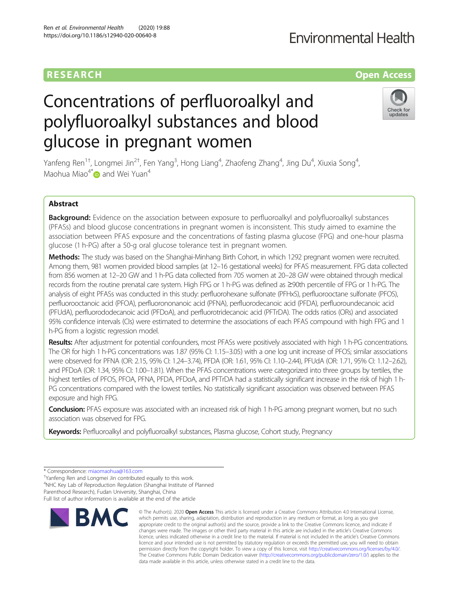# RESEARCH **RESEARCH CONSUMING ACCESS**

# Concentrations of perfluoroalkyl and polyfluoroalkyl substances and blood glucose in pregnant women

Yanfeng Ren $^{\rm 1+}$ , Longmei Jin $^{\rm 2+}$ , Fen Yang $^{\rm 3}$ , Hong Liang $^{\rm 4}$ , Zhaofeng Zhang $^{\rm 4}$ , Jing Du $^{\rm 4}$ , Xiuxia Song $^{\rm 4}$ , Maohua Miao<sup>4[\\*](http://orcid.org/0000-0003-1509-2035)</sup> and Wei Yuan<sup>4</sup>

# Abstract

Background: Evidence on the association between exposure to perfluoroalkyl and polyfluoroalkyl substances (PFASs) and blood glucose concentrations in pregnant women is inconsistent. This study aimed to examine the association between PFAS exposure and the concentrations of fasting plasma glucose (FPG) and one-hour plasma glucose (1 h-PG) after a 50-g oral glucose tolerance test in pregnant women.

Methods: The study was based on the Shanghai-Minhang Birth Cohort, in which 1292 pregnant women were recruited. Among them, 981 women provided blood samples (at 12–16 gestational weeks) for PFAS measurement. FPG data collected from 856 women at 12–20 GW and 1 h-PG data collected from 705 women at 20–28 GW were obtained through medical records from the routine prenatal care system. High FPG or 1 h-PG was defined as ≥90th percentile of FPG or 1 h-PG. The analysis of eight PFASs was conducted in this study: perfluorohexane sulfonate (PFHxS), perfluorooctane sulfonate (PFOS), perfluorooctanoic acid (PFOA), perfluorononanoic acid (PFNA), perfluorodecanoic acid (PFDA), perfluoroundecanoic acid (PFUdA), perfluorododecanoic acid (PFDoA), and perfluorotridecanoic acid (PFTrDA). The odds ratios (ORs) and associated 95% confidence intervals (CIs) were estimated to determine the associations of each PFAS compound with high FPG and 1 h-PG from a logistic regression model.

Results: After adjustment for potential confounders, most PFASs were positively associated with high 1 h-PG concentrations. The OR for high 1 h-PG concentrations was 1.87 (95% CI: 1.15–3.05) with a one log unit increase of PFOS; similar associations were observed for PFNA (OR: 2.15, 95% CI: 1.24–3.74), PFDA (OR: 1.61, 95% CI: 1.10–2.44), PFUdA (OR: 1.71, 95% CI: 1.12–2.62), and PFDoA (OR: 1.34, 95% CI: 1.00–1.81). When the PFAS concentrations were categorized into three groups by tertiles, the highest tertiles of PFOS, PFOA, PFNA, PFDA, PFDoA, and PFTrDA had a statistically significant increase in the risk of high 1 h-PG concentrations compared with the lowest tertiles. No statistically significant association was observed between PFAS exposure and high FPG.

**Conclusion:** PFAS exposure was associated with an increased risk of high 1 h-PG among pregnant women, but no such association was observed for FPG.

Keywords: Perfluoroalkyl and polyfluoroalkyl substances, Plasma glucose, Cohort study, Pregnancy

**BMC** 

<sup>†</sup>Yanfeng Ren and Longmei Jin contributed equally to this work.

4 NHC Key Lab of Reproduction Regulation (Shanghai Institute of Planned Parenthood Research), Fudan University, Shanghai, China

Full list of author information is available at the end of the article

# Ren et al. Environmental Health (2020) 19:88 https://doi.org/10.1186/s12940-020-00640-8

© The Author(s), 2020 **Open Access** This article is licensed under a Creative Commons Attribution 4.0 International License, which permits use, sharing, adaptation, distribution and reproduction in any medium or format, as long as you give



<sup>\*</sup> Correspondence: [miaomaohua@163.com](mailto:miaomaohua@163.com) †

appropriate credit to the original author(s) and the source, provide a link to the Creative Commons licence, and indicate if changes were made. The images or other third party material in this article are included in the article's Creative Commons licence, unless indicated otherwise in a credit line to the material. If material is not included in the article's Creative Commons licence and your intended use is not permitted by statutory regulation or exceeds the permitted use, you will need to obtain permission directly from the copyright holder. To view a copy of this licence, visit [http://creativecommons.org/licenses/by/4.0/.](http://creativecommons.org/licenses/by/4.0/) The Creative Commons Public Domain Dedication waiver [\(http://creativecommons.org/publicdomain/zero/1.0/](http://creativecommons.org/publicdomain/zero/1.0/)) applies to the data made available in this article, unless otherwise stated in a credit line to the data.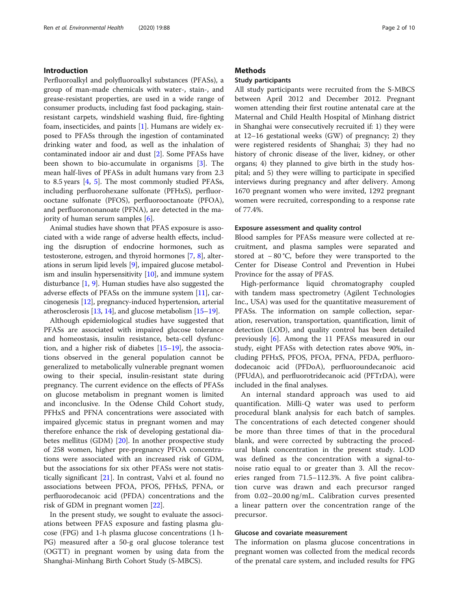# Introduction

Perfluoroalkyl and polyfluoroalkyl substances (PFASs), a group of man-made chemicals with water-, stain-, and grease-resistant properties, are used in a wide range of consumer products, including fast food packaging, stainresistant carpets, windshield washing fluid, fire-fighting foam, insecticides, and paints [[1\]](#page-8-0). Humans are widely exposed to PFASs through the ingestion of contaminated drinking water and food, as well as the inhalation of contaminated indoor air and dust [[2\]](#page-8-0). Some PFASs have been shown to bio-accumulate in organisms [[3\]](#page-8-0). The mean half-lives of PFASs in adult humans vary from 2.3 to 8.5 years [[4,](#page-8-0) [5\]](#page-8-0). The most commonly studied PFASs, including perfluorohexane sulfonate (PFHxS), perfluorooctane sulfonate (PFOS), perfluorooctanoate (PFOA), and perfluorononanoate (PFNA), are detected in the majority of human serum samples [\[6](#page-8-0)].

Animal studies have shown that PFAS exposure is associated with a wide range of adverse health effects, including the disruption of endocrine hormones, such as testosterone, estrogen, and thyroid hormones [\[7,](#page-8-0) [8\]](#page-8-0), alterations in serum lipid levels [[9](#page-8-0)], impaired glucose metabolism and insulin hypersensitivity  $[10]$  $[10]$  $[10]$ , and immune system disturbance  $[1, 9]$  $[1, 9]$  $[1, 9]$ . Human studies have also suggested the adverse effects of PFASs on the immune system [[11\]](#page-8-0), carcinogenesis [\[12\]](#page-8-0), pregnancy-induced hypertension, arterial atherosclerosis [\[13,](#page-8-0) [14](#page-8-0)], and glucose metabolism [[15](#page-8-0)–[19](#page-8-0)].

Although epidemiological studies have suggested that PFASs are associated with impaired glucose tolerance and homeostasis, insulin resistance, beta-cell dysfunction, and a higher risk of diabetes [[15](#page-8-0)–[19](#page-8-0)], the associations observed in the general population cannot be generalized to metabolically vulnerable pregnant women owing to their special, insulin-resistant state during pregnancy. The current evidence on the effects of PFASs on glucose metabolism in pregnant women is limited and inconclusive. In the Odense Child Cohort study, PFHxS and PFNA concentrations were associated with impaired glycemic status in pregnant women and may therefore enhance the risk of developing gestational diabetes mellitus (GDM) [\[20](#page-8-0)]. In another prospective study of 258 women, higher pre-pregnancy PFOA concentrations were associated with an increased risk of GDM, but the associations for six other PFASs were not statistically significant [\[21](#page-8-0)]. In contrast, Valvi et al. found no associations between PFOA, PFOS, PFHxS, PFNA, or perfluorodecanoic acid (PFDA) concentrations and the risk of GDM in pregnant women [\[22](#page-8-0)].

In the present study, we sought to evaluate the associations between PFAS exposure and fasting plasma glucose (FPG) and 1-h plasma glucose concentrations (1 h-PG) measured after a 50-g oral glucose tolerance test (OGTT) in pregnant women by using data from the Shanghai-Minhang Birth Cohort Study (S-MBCS).

#### **Methods**

# Study participants

All study participants were recruited from the S-MBCS between April 2012 and December 2012. Pregnant women attending their first routine antenatal care at the Maternal and Child Health Hospital of Minhang district in Shanghai were consecutively recruited if: 1) they were at 12–16 gestational weeks (GW) of pregnancy; 2) they were registered residents of Shanghai; 3) they had no history of chronic disease of the liver, kidney, or other organs; 4) they planned to give birth in the study hospital; and 5) they were willing to participate in specified interviews during pregnancy and after delivery. Among 1670 pregnant women who were invited, 1292 pregnant women were recruited, corresponding to a response rate of 77.4%.

#### Exposure assessment and quality control

Blood samples for PFASs measure were collected at recruitment, and plasma samples were separated and stored at − 80 °C, before they were transported to the Center for Disease Control and Prevention in Hubei Province for the assay of PFAS.

High-performance liquid chromatography coupled with tandem mass spectrometry (Agilent Technologies Inc., USA) was used for the quantitative measurement of PFASs. The information on sample collection, separation, reservation, transportation, quantification, limit of detection (LOD), and quality control has been detailed previously [\[6](#page-8-0)]. Among the 11 PFASs measured in our study, eight PFASs with detection rates above 90%, including PFHxS, PFOS, PFOA, PFNA, PFDA, perfluorododecanoic acid (PFDoA), perfluoroundecanoic acid (PFUdA), and perfluorotridecanoic acid (PFTrDA), were included in the final analyses.

An internal standard approach was used to aid quantification. Milli-Q water was used to perform procedural blank analysis for each batch of samples. The concentrations of each detected congener should be more than three times of that in the procedural blank, and were corrected by subtracting the procedural blank concentration in the present study. LOD was defined as the concentration with a signal-tonoise ratio equal to or greater than 3. All the recoveries ranged from 71.5–112.3%. A five point calibration curve was drawn and each precursor ranged from 0.02–20.00 ng/mL. Calibration curves presented a linear pattern over the concentration range of the precursor.

#### Glucose and covariate measurement

The information on plasma glucose concentrations in pregnant women was collected from the medical records of the prenatal care system, and included results for FPG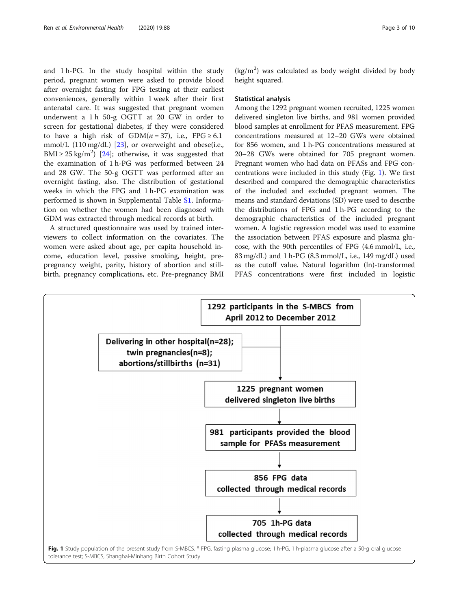and 1 h-PG. In the study hospital within the study period, pregnant women were asked to provide blood after overnight fasting for FPG testing at their earliest conveniences, generally within 1 week after their first antenatal care. It was suggested that pregnant women underwent a 1 h 50-g OGTT at 20 GW in order to screen for gestational diabetes, if they were considered to have a high risk of  $GDM(n = 37)$ , i.e., FPG ≥ 6.1 mmol/L  $(110 \text{ mg/dL})$   $[23]$  $[23]$ , or overweight and obese(i.e., BMI  $\geq$  25 kg/m<sup>2</sup>) [\[24](#page-8-0)]; otherwise, it was suggested that the examination of 1 h-PG was performed between 24 and 28 GW. The 50-g OGTT was performed after an overnight fasting, also. The distribution of gestational weeks in which the FPG and 1 h-PG examination was performed is shown in Supplemental Table [S1.](#page-7-0) Information on whether the women had been diagnosed with GDM was extracted through medical records at birth.

A structured questionnaire was used by trained interviewers to collect information on the covariates. The women were asked about age, per capita household income, education level, passive smoking, height, prepregnancy weight, parity, history of abortion and stillbirth, pregnancy complications, etc. Pre-pregnancy BMI

 $(kg/m<sup>2</sup>)$  was calculated as body weight divided by body height squared.

#### Statistical analysis

Among the 1292 pregnant women recruited, 1225 women delivered singleton live births, and 981 women provided blood samples at enrollment for PFAS measurement. FPG concentrations measured at 12–20 GWs were obtained for 856 women, and 1 h-PG concentrations measured at 20–28 GWs were obtained for 705 pregnant women. Pregnant women who had data on PFASs and FPG concentrations were included in this study (Fig. 1). We first described and compared the demographic characteristics of the included and excluded pregnant women. The means and standard deviations (SD) were used to describe the distributions of FPG and 1 h-PG according to the demographic characteristics of the included pregnant women. A logistic regression model was used to examine the association between PFAS exposure and plasma glucose, with the 90th percentiles of FPG (4.6 mmol/L, i.e., 83 mg/dL) and 1 h-PG (8.3 mmol/L, i.e., 149 mg/dL) used as the cutoff value. Natural logarithm (ln)-transformed PFAS concentrations were first included in logistic

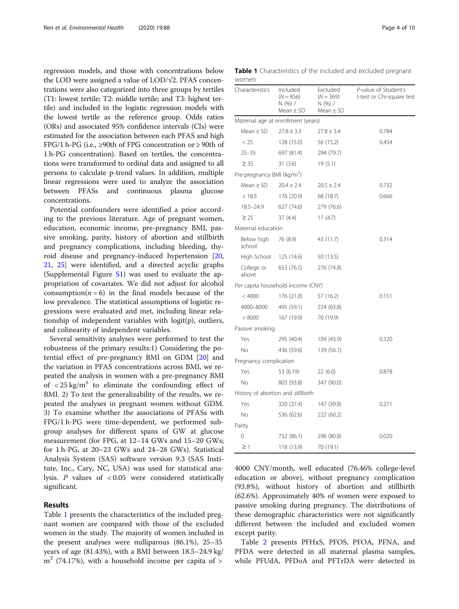regression models, and those with concentrations below the LOD were assigned a value of  $LOD/\sqrt{2}$ . PFAS concentrations were also categorized into three groups by tertiles (T1: lowest tertile; T2: middle tertile; and T3: highest tertile) and included in the logistic regression models with the lowest tertile as the reference group. Odds ratios (ORs) and associated 95% confidence intervals (CIs) were estimated for the association between each PFAS and high FPG/1 h-PG (i.e.,  $\geq$ 90th of FPG concentration or  $\geq$  90th of 1 h-PG concentration). Based on tertiles, the concentrations were transformed to ordinal data and assigned to all persons to calculate p-trend values. In addition, multiple linear regressions were used to analyze the association between PFASs and continuous plasma glucose concentrations.

Potential confounders were identified a prior according to the previous literature. Age of pregnant women, education, economic income, pre-pregnancy BMI, passive smoking, parity, history of abortion and stillbirth and pregnancy complications, including bleeding, thyroid disease and pregnancy-induced hypertension [[20](#page-8-0), [21,](#page-8-0) [25\]](#page-8-0) were identified, and a directed acyclic graphs (Supplemental Figure [S1](#page-7-0)) was used to evaluate the appropriation of covariates. We did not adjust for alcohol consumption( $n = 6$ ) in the final models because of the low prevalence. The statistical assumptions of logistic regressions were evaluated and met, including linear relationship of independent variables with logit(p), outliers, and colinearity of independent variables.

Several sensitivity analyses were performed to test the robustness of the primary results:1) Considering the potential effect of pre-pregnancy BMI on GDM [\[20\]](#page-8-0) and the variation in PFAS concentrations across BMI, we repeated the analysis in women with a pre-pregnancy BMI of  $\langle 25 \text{ kg/m}^2$  to eliminate the confounding effect of BMI. 2) To test the generalizability of the results, we repeated the analyses in pregnant women without GDM. 3) To examine whether the associations of PFASs with FPG/1 h-PG were time-dependent, we performed subgroup analyses for different spans of GW at glucose measurement (for FPG, at 12–14 GWs and 15–20 GWs; for 1 h-PG, at 20–23 GWs and 24–28 GWs). Statistical Analysis System (SAS) software version 9.3 (SAS Institute, Inc., Cary, NC, USA) was used for statistical analysis. P values of < 0.05 were considered statistically significant.

#### Results

Table 1 presents the characteristics of the included pregnant women are compared with those of the excluded women in the study. The majority of women included in the present analyses were nulliparous (86.1%), 25–35 years of age (81.43%), with a BMI between 18.5–24.9 kg/  $m<sup>2</sup>$  (74.17%), with a household income per capita of  $>$ 

Table 1 Characteristics of the included and excluded pregnant women

| Characteristics                        | Included<br>$(N = 856)$<br>N (%) /<br>Mean $\pm$ SD | Excluded<br>$(N = 369)$<br>N (%) /<br>$Mean \pm SD$ | P-value of Student's<br>t-test or Chi-square test |
|----------------------------------------|-----------------------------------------------------|-----------------------------------------------------|---------------------------------------------------|
| Maternal age at enrollment (years)     |                                                     |                                                     |                                                   |
| Mean $\pm$ SD                          | $27.8 \pm 3.3$                                      | $27.8 \pm 3.4$                                      | 0.784                                             |
| < 25                                   | 128 (15.0)                                          | 56 (15.2)                                           | 0.454                                             |
| $25 - 35$                              | 697 (81.4)                                          | 294 (79.7)                                          |                                                   |
| $\geq 35$                              | 31(3.6)                                             | 19(5.1)                                             |                                                   |
| Pre-pregnancy BMI (kg/m <sup>2</sup> ) |                                                     |                                                     |                                                   |
| Mean $\pm$ SD                          | $20.4 \pm 2.4$                                      | $20.5 \pm 2.4$                                      | 0.732                                             |
| < 18.5                                 | 176 (20.9)                                          | 68 (18.7)                                           | 0.666                                             |
| $18.5 - 24.9$                          | 627 (74.6)                                          | 279 (76.6)                                          |                                                   |
| $\geq 25$                              | 37(4.4)                                             | 17(4.7)                                             |                                                   |
| Maternal education                     |                                                     |                                                     |                                                   |
| Below high<br>school                   | 76 (8.9)                                            | 43 (11.7)                                           | 0.314                                             |
| High School                            | 125 (14.6)                                          | 50 (13.5)                                           |                                                   |
| College or<br>above                    | 653 (76.5)                                          | 276 (74.8)                                          |                                                   |
| Per capita household income (CNY)      |                                                     |                                                     |                                                   |
| < 4000                                 | 176 (21.0)                                          | 57 (16.2)                                           | 0.151                                             |
| 4000-8000                              | 495 (59.1)                                          | 224 (63.8)                                          |                                                   |
| > 8000                                 | 167 (19.9)                                          | 70 (19.9)                                           |                                                   |
| Passive smoking                        |                                                     |                                                     |                                                   |
| Yes                                    | 295 (40.4)                                          | 109 (43.9)                                          | 0.320                                             |
| No                                     | 436 (59.6)                                          | 139 (56.1)                                          |                                                   |
| Pregnancy complication                 |                                                     |                                                     |                                                   |
| Yes                                    | 53 (6.19)                                           | 22(6.0)                                             | 0.878                                             |
| No                                     | 803 (93.8)                                          | 347 (90.0)                                          |                                                   |
| History of abortion and stillbirth     |                                                     |                                                     |                                                   |
| Yes                                    | 320 (37.4)                                          | 147 (39.8)                                          | 0.271                                             |
| No                                     | 536 (62.6)                                          | 222 (60.2)                                          |                                                   |
| Parity                                 |                                                     |                                                     |                                                   |
| 0                                      | 732 (86.1)                                          | 296 (80.8)                                          | 0.020                                             |
| $\geq$ 1                               | 118 (13.9)                                          | 70 (19.1)                                           |                                                   |

4000 CNY/month, well educated (76.46% college-level education or above), without pregnancy complication (93.8%), without history of abortion and stillbirth (62.6%). Approximately 40% of women were exposed to passive smoking during pregnancy. The distributions of these demographic characteristics were not significantly different between the included and excluded women except parity.

Table [2](#page-4-0) presents PFHxS, PFOS, PFOA, PFNA, and PFDA were detected in all maternal plasma samples, while PFUdA, PFDoA and PFTrDA were detected in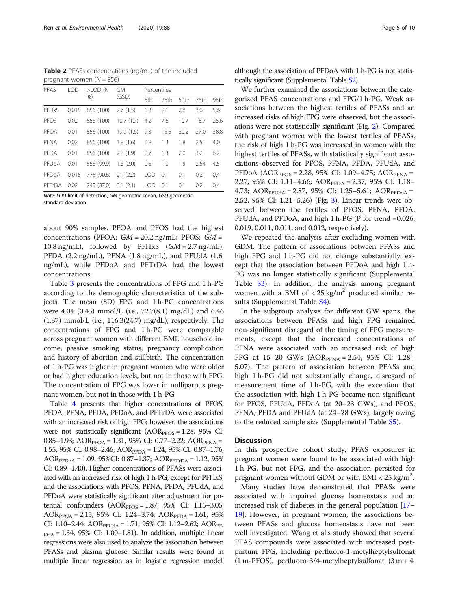<span id="page-4-0"></span>Table 2 PFASs concentrations (ng/mL) of the included pregnant women  $(N = 856)$ 

| PFAS        | LOD.  | $>$ LOD $(N$<br>%    | <b>GM</b><br>(GSD) | Percentiles |      |      |      |      |
|-------------|-------|----------------------|--------------------|-------------|------|------|------|------|
|             |       |                      |                    | 5th         | 25th | 50th | 75th | 95th |
| PFHxS       | 0.015 | 856 (100)            | 2.7(1.5)           | 1.3         | 2.1  | 2.8  | 3.6  | 5.6  |
| PEOS        | 0.02  | 856 (100)            | 10.7(1.7)          | 4.2         | 7.6  | 10.7 | 15.7 | 25.6 |
| PFOA        | 0.01  | 856 (100)            | 19.9(1.6)          | 9.3         | 15.5 | 20.2 | 270  | 38.8 |
| PFNA        | 0.02  | 856 (100)            | 1.8(1.6)           | 0.8         | 1.3  | 1.8  | 2.5  | 4.0  |
| PFDA        | 0.01  | 856 (100)            | 2.0(1.9)           | 0.7         | 1.3  | 2.0  | 3.2  | 6.2  |
| PFUdA       | 0.01  | 855 (99.9)           | 1.6(2.0)           | 0.5         | 1.0  | 1.5  | 2.54 | 4.5  |
| PFDoA       | 0.015 | 776 (90.6)           | 0.1(2.2)           | <b>LOD</b>  | 0.1  | 0.1  | 0.2  | 0.4  |
| PFTrDA 0.02 |       | 745 (87.0) 0.1 (2.1) |                    | <b>LOD</b>  | 0.1  | 0.1  | 0.2  | 0.4  |

Note: LOD limit of detection, GM geometric mean, GSD geometric standard deviation

about 90% samples. PFOA and PFOS had the highest concentrations (PFOA:  $GM = 20.2$  ng/mL; PFOS:  $GM =$ 10.8 ng/mL), followed by PFHxS  $(GM = 2.7 \text{ ng/mL})$ , PFDA (2.2 ng/mL), PFNA (1.8 ng/mL), and PFUdA (1.6 ng/mL), while PFDoA and PFTrDA had the lowest concentrations.

Table [3](#page-5-0) presents the concentrations of FPG and 1 h-PG according to the demographic characteristics of the subjects. The mean (SD) FPG and 1 h-PG concentrations were 4.04 (0.45) mmol/L (i.e., 72.7(8.1) mg/dL) and 6.46 (1.37) mmol/L (i.e., 116.3(24.7) mg/dL), respectively. The concentrations of FPG and 1 h-PG were comparable across pregnant women with different BMI, household income, passive smoking status, pregnancy complication and history of abortion and stillbirth. The concentration of 1 h-PG was higher in pregnant women who were older or had higher education levels, but not in those with FPG. The concentration of FPG was lower in nulliparous pregnant women, but not in those with 1 h-PG.

Table [4](#page-6-0) presents that higher concentrations of PFOS, PFOA, PFNA, PFDA, PFDoA, and PFTrDA were associated with an increased risk of high FPG; however, the associations were not statistically significant ( $AOR<sub>PTOS</sub> = 1.28$ , 95% CI: 0.85–1.93; AOR $_{\text{PFOA}}$  = 1.31, 95% CI: 0.77–2.22; AOR $_{\text{PFNA}}$  = 1.55, 95% CI: 0.98-2.46;  $AOR<sub>PPDA</sub> = 1.24$ , 95% CI: 0.87-1.76; AOR<sub>PFDoA</sub> = 1.09, 95%CI: 0.87–1.37; AOR<sub>PFTrDA</sub> = 1.12, 95% CI: 0.89–1.40). Higher concentrations of PFASs were associated with an increased risk of high 1 h-PG, except for PFHxS, and the associations with PFOS, PFNA, PFDA, PFUdA, and PFDoA were statistically significant after adjustment for potential confounders  $(AOR_{\text{PFOS}} = 1.87, 95\% \text{ CI: } 1.15-3.05;$ AOR<sub>PFNA</sub> = 2.15, 95% CI: 1.24–3.74; AOR<sub>PFDA</sub> = 1.61, 95% CI: 1.10–2.44;  $AOR_{PFUdA} = 1.71$ , 95% CI: 1.12–2.62;  $AOR_{PF}$ .  $_{\text{DoA}}$  = 1.34, 95% CI: 1.00–1.81). In addition, multiple linear regressions were also used to analyze the association between PFASs and plasma glucose. Similar results were found in multiple linear regression as in logistic regression model, although the association of PFDoA with 1 h-PG is not statistically significant (Supplemental Table [S2\)](#page-7-0).

We further examined the associations between the categorized PFAS concentrations and FPG/1 h-PG. Weak associations between the highest tertiles of PFASs and an increased risks of high FPG were observed, but the associations were not statistically significant (Fig. [2\)](#page-6-0). Compared with pregnant women with the lowest tertiles of PFASs, the risk of high 1 h-PG was increased in women with the highest tertiles of PFASs, with statistically significant associations observed for PFOS, PFNA, PFDA, PFUdA, and PFDoA ( $AOR_{PFOS} = 2.28$ , 95% CI: 1.09–4.75;  $AOR_{PPNA} =$ 2.27, 95% CI: 1.11–4.66; AOR<sub>PFDA</sub> = 2.37, 95% CI: 1.18– 4.73; AOR<sub>PFUdA</sub> = 2.87, 95% CI: 1.25–5.61; AOR<sub>PFDoA</sub> = 2.52, 95% CI: 1.21–5.26) (Fig. [3\)](#page-7-0). Linear trends were observed between the tertiles of PFOS, PFNA, PFDA, PFUdA, and PFDoA, and high 1 h-PG (P for trend =0.026, 0.019, 0.011, 0.011, and 0.012, respectively).

We repeated the analysis after excluding women with GDM. The pattern of associations between PFASs and high FPG and 1 h-PG did not change substantially, except that the association between PFDoA and high 1 h-PG was no longer statistically significant (Supplemental Table [S3\)](#page-7-0). In addition, the analysis among pregnant women with a BMI of  $\langle 25 \text{ kg/m}^2 \rangle$  produced similar results (Supplemental Table [S4](#page-7-0)).

In the subgroup analysis for different GW spans, the associations between PFASs and high FPG remained non-significant disregard of the timing of FPG measurements, except that the increased concentrations of PFNA were associated with an increased risk of high FPG at  $15-20$  GWs  $(AOR_{PFNA} = 2.54, 95\% \text{ CI: } 1.28-$ 5.07). The pattern of association between PFASs and high 1 h-PG did not substantially change, disregard of measurement time of 1 h-PG, with the exception that the association with high 1 h-PG became non-significant for PFOS, PFUdA, PFDoA (at 20–23 GWs), and PFOS, PFNA, PFDA and PFUdA (at 24–28 GWs), largely owing to the reduced sample size (Supplemental Table [S5\)](#page-7-0).

# **Discussion**

In this prospective cohort study, PFAS exposures in pregnant women were found to be associated with high 1 h-PG, but not FPG, and the association persisted for pregnant women without GDM or with  $BMI < 25$  kg/m<sup>2</sup>.

Many studies have demonstrated that PFASs were associated with impaired glucose homeostasis and an increased risk of diabetes in the general population [[17](#page-8-0)– [19\]](#page-8-0). However, in pregnant women, the associations between PFASs and glucose homeostasis have not been well investigated. Wang et al's study showed that several PFAS compounds were associated with increased postpartum FPG, including perfluoro-1-metylheptylsulfonat  $(1 \text{ m-PFOS})$ , perfluoro-3/4-metylheptylsulfonat  $(3 \text{ m} + 4 \text{ m})$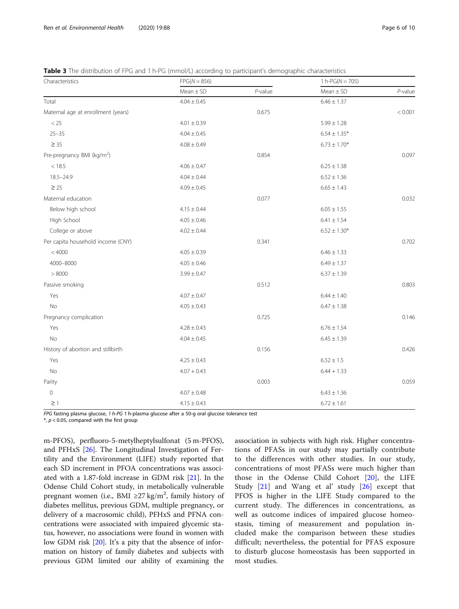<span id="page-5-0"></span>Table 3 The distribution of FPG and 1 h-PG (mmol/L) according to participant's demographic characteristics

| Characteristics                        | $FPG(N = 856)$  |            | 1 h- $PG(N = 705)$ |            |
|----------------------------------------|-----------------|------------|--------------------|------------|
|                                        | $Mean \pm SD$   | $P$ -value | $Mean \pm SD$      | $P$ -value |
| Total                                  | $4.04 \pm 0.45$ |            | $6.46 \pm 1.37$    |            |
| Maternal age at enrollment (years)     |                 | 0.675      |                    | < 0.001    |
| < 25                                   | $4.01 \pm 0.39$ |            | $5.99 \pm 1.28$    |            |
| $25 - 35$                              | $4.04 \pm 0.45$ |            | $6.54 \pm 1.35*$   |            |
| $\geq$ 35                              | $4.08 \pm 0.49$ |            | $6.73 \pm 1.70*$   |            |
| Pre-pregnancy BMI (kg/m <sup>2</sup> ) |                 | 0.854      |                    | 0.097      |
| < 18.5                                 | $4.06 \pm 0.47$ |            | $6.25 \pm 1.38$    |            |
| $18.5 - 24.9$                          | $4.04 \pm 0.44$ |            | $6.52 \pm 1.36$    |            |
| $\geq 25$                              | $4.09 \pm 0.45$ |            | $6.65 \pm 1.43$    |            |
| Maternal education                     |                 | 0.077      |                    | 0.032      |
| Below high school                      | $4.15 \pm 0.44$ |            | $6.05 \pm 1.55$    |            |
| High School                            | $4.05 \pm 0.46$ |            | $6.41 \pm 1.54$    |            |
| College or above                       | $4.02 \pm 0.44$ |            | $6.52 \pm 1.30*$   |            |
| Per capita household income (CNY)      |                 | 0.341      |                    | 0.702      |
| < 4000                                 | $4.05 \pm 0.39$ |            | $6.46 \pm 1.33$    |            |
| 4000-8000                              | $4.05 \pm 0.46$ |            | $6.49 \pm 1.37$    |            |
| > 8000                                 | $3.99 \pm 0.47$ |            | $6.37 \pm 1.39$    |            |
| Passive smoking                        |                 | 0.512      |                    | 0.803      |
| Yes                                    | $4.07 \pm 0.47$ |            | $6.44 \pm 1.40$    |            |
| No                                     | $4.05 \pm 0.43$ |            | $6.47 \pm 1.38$    |            |
| Pregnancy complication                 |                 | 0.725      |                    | 0.146      |
| Yes                                    | $4.28 \pm 0.43$ |            | $6.76 \pm 1.54$    |            |
| No                                     | $4.04 \pm 0.45$ |            | $6.45 \pm 1.39$    |            |
| History of abortion and stillbirth     |                 | 0.156      |                    | 0.426      |
| Yes                                    | $4.25 \pm 0.43$ |            | $6.52\pm1.5$       |            |
| <b>No</b>                              | $4.07 + 0.43$   |            | $6.44 + 1.33$      |            |
| Parity                                 |                 | 0.003      |                    | 0.059      |
| $\mathbf 0$                            | $4.07 \pm 0.48$ |            | $6.43 \pm 1.36$    |            |
| $\geq$ 1                               | $4.15 \pm 0.43$ |            | $6.72 \pm 1.61$    |            |

FPG fasting plasma glucose, 1 h-PG 1 h-plasma glucose after a 50-g oral glucose tolerance test

 $*$ ,  $p$  < 0.05, compared with the first group

m-PFOS), perfluoro-5-metylheptylsulfonat (5 m-PFOS), and PFHxS [[26](#page-9-0)]. The Longitudinal Investigation of Fertility and the Environment (LIFE) study reported that each SD increment in PFOA concentrations was associated with a 1.87-fold increase in GDM risk [\[21\]](#page-8-0). In the Odense Child Cohort study, in metabolically vulnerable pregnant women (i.e., BMI ≥27 kg/m<sup>2</sup>, family history of diabetes mellitus, previous GDM, multiple pregnancy, or delivery of a macrosomic child), PFHxS and PFNA concentrations were associated with impaired glycemic status, however, no associations were found in women with low GDM risk [\[20](#page-8-0)]. It's a pity that the absence of information on history of family diabetes and subjects with previous GDM limited our ability of examining the association in subjects with high risk. Higher concentrations of PFASs in our study may partially contribute to the differences with other studies. In our study, concentrations of most PFASs were much higher than those in the Odense Child Cohort [[20](#page-8-0)], the LIFE Study [[21\]](#page-8-0) and Wang et al' study [[26\]](#page-9-0) except that PFOS is higher in the LIFE Study compared to the current study. The differences in concentrations, as well as outcome indices of impaired glucose homeostasis, timing of measurement and population included make the comparison between these studies difficult; nevertheless, the potential for PFAS exposure to disturb glucose homeostasis has been supported in most studies.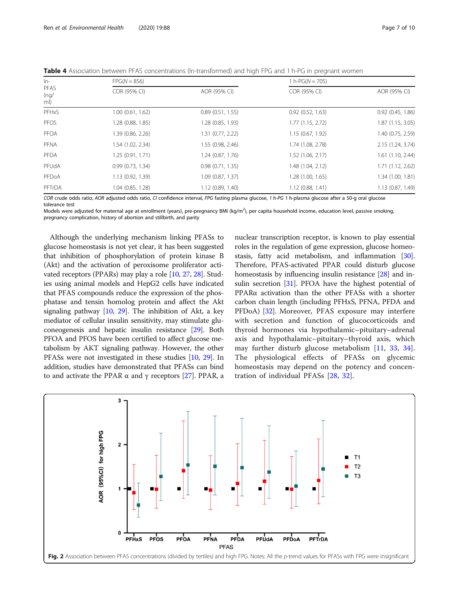| $ln-$<br>PFAS<br>(nq)<br>ml) | $FPG(N = 856)$    |                   |                     | 1 h- $PG(N = 705)$    |  |  |
|------------------------------|-------------------|-------------------|---------------------|-----------------------|--|--|
|                              | COR (95% CI)      | AOR (95% CI)      | COR (95% CI)        | AOR (95% CI)          |  |  |
| PFHxS                        | 1.00(0.61, 1.62)  | 0.89(0.51, 1.55)  | 0.92(0.52, 1.63)    | $0.92$ $(0.45, 1.86)$ |  |  |
| PFOS                         | 1.28 (0.88, 1.85) | 1.28 (0.85, 1.93) | 1.77 (1.15, 2.72)   | 1.87 (1.15, 3.05)     |  |  |
| PFOA                         | 1.39 (0.86, 2.26) | 1.31 (0.77, 2.22) | 1.15(0.67, 1.92)    | 1.40 (0.75, 2.59)     |  |  |
| PFNA                         | 1.54 (1.02, 2.34) | 1.55 (0.98, 2.46) | 1.74 (1.08, 2.78)   | 2.15 (1.24, 3.74)     |  |  |
| PFDA                         | 1.25(0.91, 1.71)  | 1.24(0.87, 1.76)  | 1.52 (1.06, 2.17)   | $1.61$ $(1.10, 2.44)$ |  |  |
| PFUdA                        | 0.99(0.73, 1.34)  | 0.98(0.71, 1.35)  | 1.48 (1.04, 2.12)   | 1.71(1.12, 2.62)      |  |  |
| PFDoA                        | 1.13 (0.92, 1.39) | 1.09(0.87, 1.37)  | 1.28 (1.00, 1.65)   | 1.34 (1.00, 1.81)     |  |  |
| PFTrDA                       | 1.04(0.85, 1.28)  | 1.12(0.89, 1.40)  | $1.12$ (0.88, 1.41) | 1.13(0.87, 1.49)      |  |  |

<span id="page-6-0"></span>Table 4 Association between PFAS concentrations (In-transformed) and high FPG and 1 h-PG in pregnant women

COR crude odds ratio, AOR adjusted odds ratio, CI confidence interval, FPG fasting plasma glucose, 1 h-PG 1 h-plasma glucose after a 50-g oral glucose tolerance test

Models were adjusted for maternal age at enrollment (years), pre-pregnancy BMI (kg/m<sup>2</sup>), per capita household income, education level, passive smoking, pregnancy complication, history of abortion and stillbirth, and parity

Although the underlying mechanism linking PFASs to glucose homeostasis is not yet clear, it has been suggested that inhibition of phosphorylation of protein kinase B (Akt) and the activation of peroxisome proliferator activated receptors (PPARs) may play a role [[10](#page-8-0), [27,](#page-9-0) [28\]](#page-9-0). Studies using animal models and HepG2 cells have indicated that PFAS compounds reduce the expression of the phosphatase and tensin homolog protein and affect the Akt signaling pathway  $[10, 29]$  $[10, 29]$  $[10, 29]$  $[10, 29]$  $[10, 29]$ . The inhibition of Akt, a key mediator of cellular insulin sensitivity, may stimulate gluconeogenesis and hepatic insulin resistance [[29](#page-9-0)]. Both PFOA and PFOS have been certified to affect glucose metabolism by AKT signaling pathway. However, the other PFASs were not investigated in these studies [[10](#page-8-0), [29\]](#page-9-0). In addition, studies have demonstrated that PFASs can bind to and activate the PPAR  $\alpha$  and γ receptors [\[27\]](#page-9-0). PPAR, a nuclear transcription receptor, is known to play essential roles in the regulation of gene expression, glucose homeostasis, fatty acid metabolism, and inflammation [[30](#page-9-0)]. Therefore, PFAS-activated PPAR could disturb glucose homeostasis by influencing insulin resistance [\[28\]](#page-9-0) and in-sulin secretion [\[31](#page-9-0)]. PFOA have the highest potential of PPARα activation than the other PFASs with a shorter carbon chain length (including PFHxS, PFNA, PFDA and PFDoA) [\[32\]](#page-9-0). Moreover, PFAS exposure may interfere with secretion and function of glucocorticoids and thyroid hormones via hypothalamic–pituitary–adrenal axis and hypothalamic–pituitary–thyroid axis, which may further disturb glucose metabolism [[11,](#page-8-0) [33,](#page-9-0) [34](#page-9-0)]. The physiological effects of PFASs on glycemic homeostasis may depend on the potency and concentration of individual PFASs [[28](#page-9-0), [32](#page-9-0)].

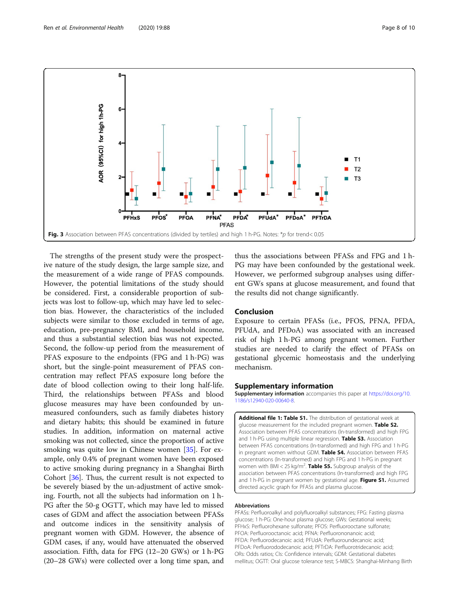<span id="page-7-0"></span>

The strengths of the present study were the prospective nature of the study design, the large sample size, and the measurement of a wide range of PFAS compounds. However, the potential limitations of the study should be considered. First, a considerable proportion of subjects was lost to follow-up, which may have led to selection bias. However, the characteristics of the included subjects were similar to those excluded in terms of age, education, pre-pregnancy BMI, and household income, and thus a substantial selection bias was not expected. Second, the follow-up period from the measurement of PFAS exposure to the endpoints (FPG and 1 h-PG) was short, but the single-point measurement of PFAS concentration may reflect PFAS exposure long before the date of blood collection owing to their long half-life. Third, the relationships between PFASs and blood glucose measures may have been confounded by unmeasured confounders, such as family diabetes history and dietary habits; this should be examined in future studies. In addition, information on maternal active smoking was not collected, since the proportion of active smoking was quite low in Chinese women [\[35](#page-9-0)]. For example, only 0.4% of pregnant women have been exposed to active smoking during pregnancy in a Shanghai Birth Cohort [[36](#page-9-0)]. Thus, the current result is not expected to be severely biased by the un-adjustment of active smoking. Fourth, not all the subjects had information on 1 h-PG after the 50-g OGTT, which may have led to missed cases of GDM and affect the association between PFASs and outcome indices in the sensitivity analysis of pregnant women with GDM. However, the absence of GDM cases, if any, would have attenuated the observed association. Fifth, data for FPG (12–20 GWs) or 1 h-PG (20–28 GWs) were collected over a long time span, and

thus the associations between PFASs and FPG and 1 h-PG may have been confounded by the gestational week. However, we performed subgroup analyses using different GWs spans at glucose measurement, and found that the results did not change significantly.

# Conclusion

Exposure to certain PFASs (i.e., PFOS, PFNA, PFDA, PFUdA, and PFDoA) was associated with an increased risk of high 1 h-PG among pregnant women. Further studies are needed to clarify the effect of PFASs on gestational glycemic homeostasis and the underlying mechanism.

#### Supplementary information

Supplementary information accompanies this paper at [https://doi.org/10.](https://doi.org/10.1186/s12940-020-00640-8) [1186/s12940-020-00640-8](https://doi.org/10.1186/s12940-020-00640-8).

Additional file 1: Table S1. The distribution of gestational week at glucose measurement for the included pregnant women. Table S2. Association between PFAS concentrations (ln-transformed) and high FPG and 1 h-PG using multiple linear regression. Table S3. Association between PFAS concentrations (ln-transformed) and high FPG and 1 h-PG in pregnant women without GDM. Table S4. Association between PFAS concentrations (ln-transformed) and high FPG and 1 h-PG in pregnant women with BMI < 25 kg/m<sup>2</sup>. Table S5. Subgroup analysis of the association between PFAS concentrations (ln-transformed) and high FPG and 1 h-PG in pregnant women by gestational age. Figure S1. Assumed directed acyclic graph for PFASs and plasma glucose.

#### Abbreviations

PFASs: Perfluoroalkyl and polyfluoroalkyl substances; FPG: Fasting plasma glucose; 1 h-PG: One-hour plasma glucose; GWs: Gestational weeks; PFHxS: Perfluorohexane sulfonate; PFOS: Perfluorooctane sulfonate; PFOA: Perfluorooctanoic acid; PFNA: Perfluorononanoic acid; PFDA: Perfluorodecanoic acid; PFUdA: Perfluoroundecanoic acid; PFDoA: Perfluorododecanoic acid; PFTrDA: Perfluorotridecanoic acid; ORs: Odds ratios; CIs: Confidence intervals; GDM: Gestational diabetes mellitus; OGTT: Oral glucose tolerance test; S-MBCS: Shanghai-Minhang Birth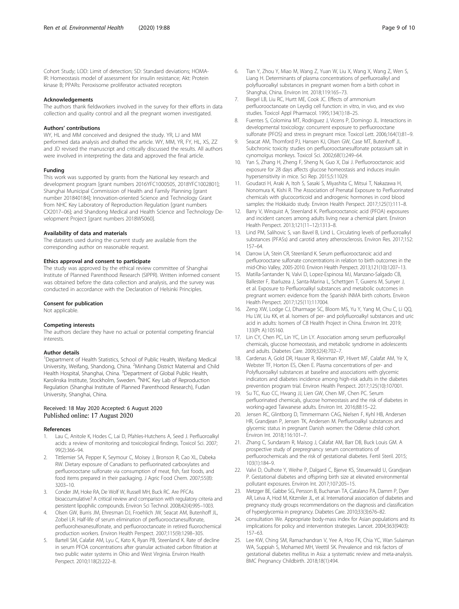<span id="page-8-0"></span>Cohort Study; LOD: Limit of detection; SD: Standard deviations; HOMA-IR: Homeostasis model of assessment for insulin resistance; Akt: Protein kinase B; PPARs: Peroxisome proliferator activated receptors

#### Acknowledgements

The authors thank fieldworkers involved in the survey for their efforts in data collection and quality control and all the pregnant women investigated.

#### Authors' contributions

WY, HL and MM conceived and designed the study. YR, LJ and MM performed data analysis and drafted the article. WY, MM, YR, FY, HL, XS, ZZ and JD revised the manuscript and critically discussed the results. All authors were involved in interpreting the data and approved the final article.

#### Funding

This work was supported by grants from the National key research and development program [grant numbers 2016YFC1000505, 2018YFC1002801]; Shanghai Municipal Commission of Health and Family Planning [grant number 201840184]; Innovation-oriented Science and Technology Grant from NHC Key Laboratory of Reproduction Regulation [grant numbers CX2017–06]; and Shandong Medical and Health Science and Technology Development Project [grant numbers 2018WS060].

#### Availability of data and materials

The datasets used during the current study are available from the corresponding author on reasonable request.

#### Ethics approval and consent to participate

The study was approved by the ethical review committee of Shanghai Institute of Planned Parenthood Research (SIPPR). Written informed consent was obtained before the data collection and analysis, and the survey was conducted in accordance with the Declaration of Helsinki Principles.

#### Consent for publication

Not applicable.

#### Competing interests

The authors declare they have no actual or potential competing financial interests.

#### Author details

<sup>1</sup>Department of Health Statistics, School of Public Health, Weifang Medical University, Weifang, Shandong, China. <sup>2</sup>Minhang District Maternal and Child Health Hospital, Shanghai, China. <sup>3</sup>Department of Global Public Health, Karolinska Institute, Stockholm, Sweden. <sup>4</sup>NHC Key Lab of Reproduction Regulation (Shanghai Institute of Planned Parenthood Research), Fudan University, Shanghai, China.

### Received: 18 May 2020 Accepted: 6 August 2020 Published online: 17 August 2020

#### References

- Lau C, Anitole K, Hodes C, Lai D, Pfahles-Hutchens A, Seed J. Perfluoroalkyl acids: a review of monitoring and toxicological findings. Toxicol Sci. 2007; 99(2):366–94.
- 2. Tittlemier SA, Pepper K, Seymour C, Moisey J, Bronson R, Cao XL, Dabeka RW. Dietary exposure of Canadians to perfluorinated carboxylates and perfluorooctane sulfonate via consumption of meat, fish, fast foods, and food items prepared in their packaging. J Agric Food Chem. 2007;55(8): 3203–10.
- 3. Conder JM, Hoke RA, De Wolf W, Russell MH, Buck RC. Are PFCAs bioaccumulative? A critical review and comparison with regulatory criteria and persistent lipophilic compounds. Environ Sci Technol. 2008;42(4):995–1003.
- 4. Olsen GW, Burris JM, Ehresman DJ, Froehlich JW, Seacat AM, Butenhoff JL, Zobel LR. Half-life of serum elimination of perfluorooctanesulfonate, perfluorohexanesulfonate, and perfluorooctanoate in retired fluorochemical production workers. Environ Health Perspect. 2007;115(9):1298–305.
- Bartell SM, Calafat AM, Lyu C, Kato K, Ryan PB, Steenland K. Rate of decline in serum PFOA concentrations after granular activated carbon filtration at two public water systems in Ohio and West Virginia. Environ Health Perspect. 2010;118(2):222–8.
- 7. Biegel LB, Liu RC, Hurtt ME, Cook JC. Effects of ammonium perfluorooctanoate on Leydig cell function: in vitro, in vivo, and ex vivo studies. Toxicol Appl Pharmacol. 1995;134(1):18–25.
- 8. Fuentes S, Colomina MT, Rodriguez J, Vicens P, Domingo JL. Interactions in developmental toxicology: concurrent exposure to perfluorooctane sulfonate (PFOS) and stress in pregnant mice. Toxicol Lett. 2006;164(1):81–9.
- Seacat AM, Thomford PJ, Hansen KJ, Olsen GW, Case MT, Butenhoff JL. Subchronic toxicity studies on perfluorooctanesulfonate potassium salt in cynomolgus monkeys. Toxicol Sci. 2002;68(1):249–64.
- 10. Yan S, Zhang H, Zheng F, Sheng N, Guo X, Dai J. Perfluorooctanoic acid exposure for 28 days affects glucose homeostasis and induces insulin hypersensitivity in mice. Sci Rep. 2015;5:11029.
- 11. Goudarzi H, Araki A, Itoh S, Sasaki S, Miyashita C, Mitsui T, Nakazawa H, Nonomura K, Kishi R. The Association of Prenatal Exposure to Perfluorinated chemicals with glucocorticoid and androgenic hormones in cord blood samples: the Hokkaido study. Environ Health Perspect. 2017;125(1):111–8.
- 12. Barry V, Winquist A, Steenland K. Perfluorooctanoic acid (PFOA) exposures and incident cancers among adults living near a chemical plant. Environ Health Perspect. 2013;121(11–12):1313–8.
- 13. Lind PM, Salihovic S, van Bavel B, Lind L. Circulating levels of perfluoroalkyl substances (PFASs) and carotid artery atherosclerosis. Environ Res. 2017;152: 157–64.
- 14. Darrow LA, Stein CR, Steenland K. Serum perfluorooctanoic acid and perfluorooctane sulfonate concentrations in relation to birth outcomes in the mid-Ohio Valley, 2005-2010. Environ Health Perspect. 2013;121(10):1207–13.
- 15. Matilla-Santander N, Valvi D, Lopez-Espinosa MJ, Manzano-Salgado CB, Ballester F, Ibarluzea J, Santa-Marina L, Schettgen T, Guxens M, Sunyer J, et al. Exposure to Perfluoroalkyl substances and metabolic outcomes in pregnant women: evidence from the Spanish INMA birth cohorts. Environ Health Perspect. 2017;125(11):117004.
- 16. Zeng XW, Lodge CJ, Dharmage SC, Bloom MS, Yu Y, Yang M, Chu C, Li QQ, Hu LW, Liu KK, et al. Isomers of per- and polyfluoroalkyl substances and uric acid in adults: Isomers of C8 Health Project in China. Environ Int. 2019; 133(Pt A):105160.
- 17. Lin CY, Chen PC, Lin YC, Lin LY. Association among serum perfluoroalkyl chemicals, glucose homeostasis, and metabolic syndrome in adolescents and adults. Diabetes Care. 2009;32(4):702–7.
- 18. Cardenas A, Gold DR, Hauser R, Kleinman KP, Hivert MF, Calafat AM, Ye X, Webster TF, Horton ES, Oken E. Plasma concentrations of per- and Polyfluoroalkyl substances at baseline and associations with glycemic indicators and diabetes incidence among high-risk adults in the diabetes prevention program trial. Environ Health Perspect. 2017;125(10):107001.
- 19. Su TC, Kuo CC, Hwang JJ, Lien GW, Chen MF, Chen PC. Serum perfluorinated chemicals, glucose homeostasis and the risk of diabetes in working-aged Taiwanese adults. Environ Int. 2016;88:15–22.
- 20. Jensen RC, Glintborg D, Timmermann CAG, Nielsen F, Kyhl HB, Andersen HR, Grandjean P, Jensen TK, Andersen M. Perfluoroalkyl substances and glycemic status in pregnant Danish women: the Odense child cohort. Environ Int. 2018;116:101–7.
- 21. Zhang C, Sundaram R, Maisog J, Calafat AM, Barr DB, Buck Louis GM. A prospective study of prepregnancy serum concentrations of perfluorochemicals and the risk of gestational diabetes. Fertil Steril. 2015; 103(1):184–9.
- 22. Valvi D, Oulhote Y, Weihe P, Dalgard C, Bjerve KS, Steuerwald U, Grandjean P. Gestational diabetes and offspring birth size at elevated environmental pollutant exposures. Environ Int. 2017;107:205–15.
- 23. Metzger BE, Gabbe SG, Persson B, Buchanan TA, Catalano PA, Damm P, Dyer AR, Leiva A, Hod M, Kitzmiler JL, et al. International association of diabetes and pregnancy study groups recommendations on the diagnosis and classification of hyperglycemia in pregnancy. Diabetes Care. 2010;33(3):676–82.
- 24. consultation We. Appropriate body-mass index for Asian populations and its implications for policy and intervention strategies. Lancet. 2004;363(9403): 157–63.
- 25. Lee KW, Ching SM, Ramachandran V, Yee A, Hoo FK, Chia YC, Wan Sulaiman WA, Suppiah S, Mohamed MH, Veettil SK. Prevalence and risk factors of gestational diabetes mellitus in Asia: a systematic review and meta-analysis. BMC Pregnancy Childbirth. 2018;18(1):494.